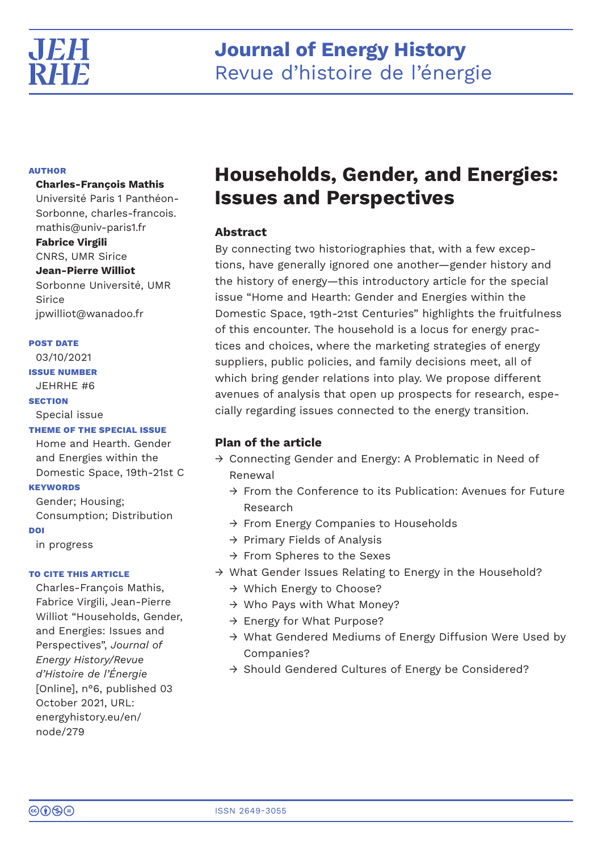

# **AUTHOR**

# **Charles-François Mathis**

Université Paris 1 Panthéon-Sorbonne, charles-francois. mathis@univ-paris1.fr **Fabrice Virgili**

CNRS, UMR Sirice **Jean-Pierre Williot** Sorbonne Université, UMR Sirice

jpwilliot@wanadoo.fr

# **POST DATE**

03/10/2021

**ISSUE NUMBER**

JEHRHE #6

# **SECTION**

Special issue

# **THEME OF THE SPECIAL ISSUE**

Home and Hearth. Gender and Energies within the Domestic Space, 19th-21st C

# **KEYWORDS**

Gender; Housing; Consumption; Distribution **DOI**

in progress

# **TO CITE THIS ARTICLE**

Charles-François Mathis, Fabrice Virgili, Jean-Pierre Williot "Households, Gender, and Energies: Issues and Perspectives", *Journal of Energy History/Revue d'Histoire de l'Énergie* [Online], n°6, published 03 October 2021, URL: energyhistory.eu/en/ node/279

# **Households, Gender, and Energies: Issues and Perspectives**

# **Abstract**

By connecting two historiographies that, with a few exceptions, have generally ignored one another—gender history and the history of energy—this introductory article for the special issue "Home and Hearth: Gender and Energies within the Domestic Space, 19th-21st Centuries" highlights the fruitfulness of this encounter. The household is a locus for energy practices and choices, where the marketing strategies of energy suppliers, public policies, and family decisions meet, all of which bring gender relations into play. We propose different avenues of analysis that open up prospects for research, especially regarding issues connected to the energy transition.

# **Plan of the article**

- → Connecting Gender and Energy: A Problematic in Need of Renewal
	- $\rightarrow$  From the Conference to its Publication: Avenues for Future Research
	- → From Energy Companies to Households
	- $\rightarrow$  Primary Fields of Analysis
	- → From Spheres to the Sexes
- → What Gender Issues Relating to Energy in the Household?
	- → Which Energy to Choose?
	- → Who Pays with What Money?
	- → Energy for What Purpose?
	- → What Gendered Mediums of Energy Diffusion Were Used by Companies?
	- → Should Gendered Cultures of Energy be Considered?

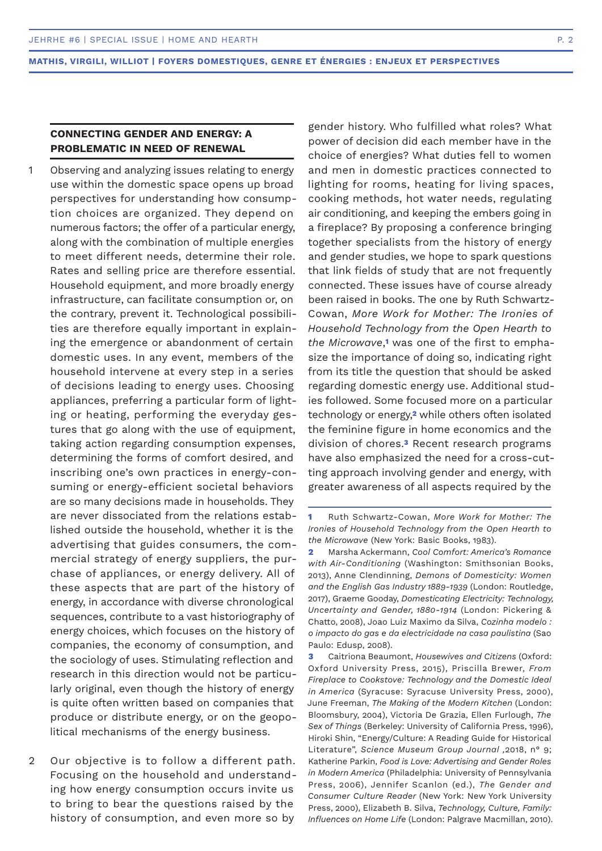# **CONNECTING GENDER AND ENERGY: A PROBLEMATIC IN NEED OF RENEWAL**

- Observing and analyzing issues relating to energy use within the domestic space opens up broad perspectives for understanding how consumption choices are organized. They depend on numerous factors; the offer of a particular energy, along with the combination of multiple energies to meet different needs, determine their role. Rates and selling price are therefore essential. Household equipment, and more broadly energy infrastructure, can facilitate consumption or, on the contrary, prevent it. Technological possibilities are therefore equally important in explaining the emergence or abandonment of certain domestic uses. In any event, members of the household intervene at every step in a series of decisions leading to energy uses. Choosing appliances, preferring a particular form of lighting or heating, performing the everyday gestures that go along with the use of equipment, taking action regarding consumption expenses, determining the forms of comfort desired, and inscribing one's own practices in energy-consuming or energy-efficient societal behaviors are so many decisions made in households. They are never dissociated from the relations established outside the household, whether it is the advertising that guides consumers, the commercial strategy of energy suppliers, the purchase of appliances, or energy delivery. All of these aspects that are part of the history of energy, in accordance with diverse chronological sequences, contribute to a vast historiography of energy choices, which focuses on the history of companies, the economy of consumption, and the sociology of uses. Stimulating reflection and research in this direction would not be particularly original, even though the history of energy is quite often written based on companies that produce or distribute energy, or on the geopolitical mechanisms of the energy business. 1
- Our objective is to follow a different path. Focusing on the household and understanding how energy consumption occurs invite us to bring to bear the questions raised by the history of consumption, and even more so by 2

gender history. Who fulfilled what roles? What power of decision did each member have in the choice of energies? What duties fell to women and men in domestic practices connected to lighting for rooms, heating for living spaces, cooking methods, hot water needs, regulating air conditioning, and keeping the embers going in a fireplace? By proposing a conference bringing together specialists from the history of energy and gender studies, we hope to spark questions that link fields of study that are not frequently connected. These issues have of course already been raised in books. The one by Ruth Schwartz-Cowan, *More Work for Mother: The Ironies of Household Technology from the Open Hearth to the Microwave*,**1** was one of the first to emphasize the importance of doing so, indicating right from its title the question that should be asked regarding domestic energy use. Additional studies followed. Some focused more on a particular technology or energy,**2** while others often isolated the feminine figure in home economics and the division of chores.**3** Recent research programs have also emphasized the need for a cross-cutting approach involving gender and energy, with greater awareness of all aspects required by the

**2** Marsha Ackermann, *Cool Comfort: America's Romance with Air-Conditioning* (Washington: Smithsonian Books, 2013), Anne Clendinning, *Demons of Domesticity: Women and the English Gas Industry 1889-1939* (London: Routledge, 2017), Graeme Gooday, *Domesticating Electricity: Technology, Uncertainty and Gender, 1880-1914* (London: Pickering & Chatto, 2008), Joao Luiz Maximo da Silva, *Cozinha modelo : o impacto do gas e da electricidade na casa paulistina* (Sao Paulo: Edusp, 2008).

**3** Caitriona Beaumont, *Housewives and Citizens* (Oxford: Oxford University Press, 2015), Priscilla Brewer, *From Fireplace to Cookstove: Technology and the Domestic Ideal in America* (Syracuse: Syracuse University Press, 2000), June Freeman, *The Making of the Modern Kitchen* (London: Bloomsbury, 2004), Victoria De Grazia, Ellen Furlough, *The Sex of Things* (Berkeley: University of California Press, 1996), Hiroki Shin, "Energy/Culture: A Reading Guide for Historical Literature", *Science Museum Group Journal ,*2018, n° 9; Katherine Parkin, *Food is Love: Advertising and Gender Roles in Modern America* (Philadelphia: University of Pennsylvania Press, 2006), Jennifer Scanlon (ed.), *The Gender and Consumer Culture Reader* (New York: New York University Press, 2000), Elizabeth B. Silva, *Technology, Culture, Family: Influences on Home Life* (London: Palgrave Macmillan, 2010).

**<sup>1</sup>** Ruth Schwartz-Cowan, *More Work for Mother: The Ironies of Household Technology from the Open Hearth to the Microwave* (New York: Basic Books, 1983).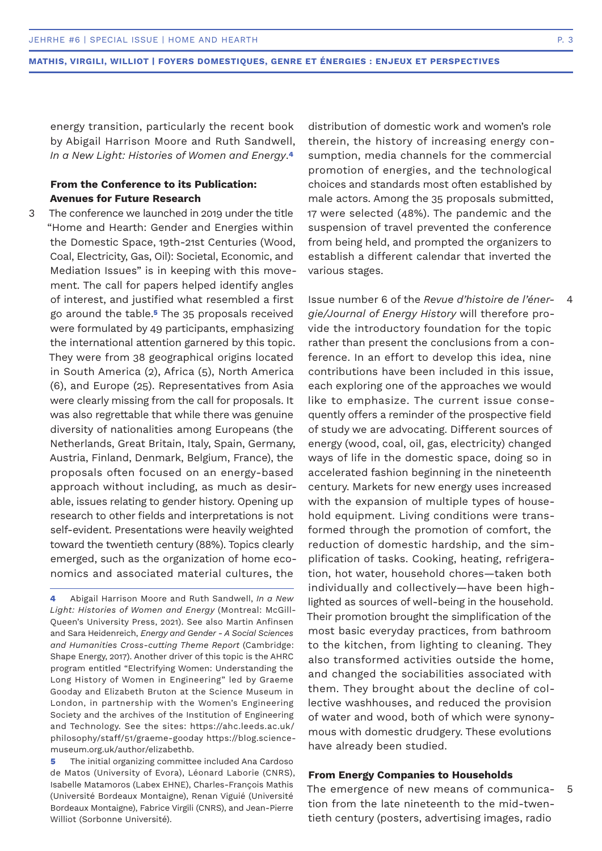energy transition, particularly the recent book by Abigail Harrison Moore and Ruth Sandwell, *In a New Light: Histories of Women and Energy*.**<sup>4</sup>**

# **From the Conference to its Publication: Avenues for Future Research**

3

The conference we launched in 2019 under the title "Home and Hearth: Gender and Energies within the Domestic Space, 19th-21st Centuries (Wood, Coal, Electricity, Gas, Oil): Societal, Economic, and Mediation Issues" is in keeping with this movement. The call for papers helped identify angles of interest, and justified what resembled a first go around the table.**5** The 35 proposals received were formulated by 49 participants, emphasizing the international attention garnered by this topic. They were from 38 geographical origins located in South America (2), Africa (5), North America (6), and Europe (25). Representatives from Asia were clearly missing from the call for proposals. It was also regrettable that while there was genuine diversity of nationalities among Europeans (the Netherlands, Great Britain, Italy, Spain, Germany, Austria, Finland, Denmark, Belgium, France), the proposals often focused on an energy-based approach without including, as much as desirable, issues relating to gender history. Opening up research to other fields and interpretations is not self-evident. Presentations were heavily weighted toward the twentieth century (88%). Topics clearly emerged, such as the organization of home economics and associated material cultures, the

**4** Abigail Harrison Moore and Ruth Sandwell, *In a New Light: Histories of Women and Energy* (Montreal: McGill-Queen's University Press, 2021). See also Martin Anfinsen and Sara Heidenreich, *Energy and Gender - A Social Sciences and Humanities Cross-cutting Theme Report* (Cambridge: Shape Energy, 2017). Another driver of this topic is the AHRC program entitled "Electrifying Women: Understanding the Long History of Women in Engineering" led by Graeme Gooday and Elizabeth Bruton at the Science Museum in London, in partnership with the Women's Engineering Society and the archives of the Institution of Engineering and Technology. See the sites: https://ahc.leeds.ac.uk/ philosophy/staff/51/graeme-gooday https://blog.sciencemuseum.org.uk/author/elizabethb.

**5** The initial organizing committee included Ana Cardoso de Matos (University of Evora), Léonard Laborie (CNRS), Isabelle Matamoros (Labex EHNE), Charles-François Mathis (Université Bordeaux Montaigne), Renan Viguié (Université Bordeaux Montaigne), Fabrice Virgili (CNRS), and Jean-Pierre Williot (Sorbonne Université).

distribution of domestic work and women's role therein, the history of increasing energy consumption, media channels for the commercial promotion of energies, and the technological choices and standards most often established by male actors. Among the 35 proposals submitted, 17 were selected (48%). The pandemic and the suspension of travel prevented the conference from being held, and prompted the organizers to establish a different calendar that inverted the various stages.

Issue number 6 of the *Revue d'histoire de l'énergie/Journal of Energy History* will therefore provide the introductory foundation for the topic rather than present the conclusions from a conference. In an effort to develop this idea, nine contributions have been included in this issue, each exploring one of the approaches we would like to emphasize. The current issue consequently offers a reminder of the prospective field of study we are advocating. Different sources of energy (wood, coal, oil, gas, electricity) changed ways of life in the domestic space, doing so in accelerated fashion beginning in the nineteenth century. Markets for new energy uses increased with the expansion of multiple types of household equipment. Living conditions were transformed through the promotion of comfort, the reduction of domestic hardship, and the simplification of tasks. Cooking, heating, refrigeration, hot water, household chores—taken both individually and collectively—have been highlighted as sources of well-being in the household. Their promotion brought the simplification of the most basic everyday practices, from bathroom to the kitchen, from lighting to cleaning. They also transformed activities outside the home, and changed the sociabilities associated with them. They brought about the decline of collective washhouses, and reduced the provision of water and wood, both of which were synonymous with domestic drudgery. These evolutions have already been studied.

### **From Energy Companies to Households**

The emergence of new means of communication from the late nineteenth to the mid-twentieth century (posters, advertising images, radio 5

4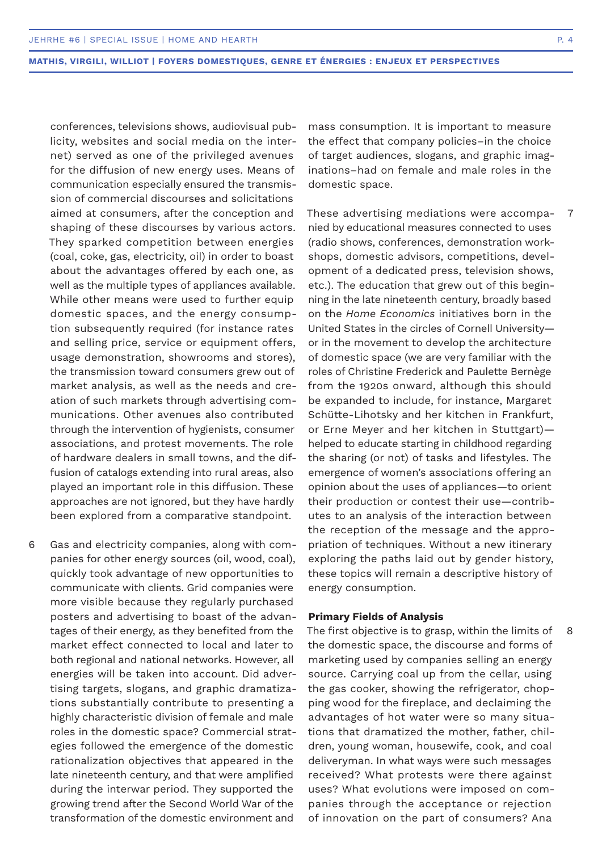conferences, televisions shows, audiovisual publicity, websites and social media on the internet) served as one of the privileged avenues for the diffusion of new energy uses. Means of communication especially ensured the transmission of commercial discourses and solicitations aimed at consumers, after the conception and shaping of these discourses by various actors. They sparked competition between energies (coal, coke, gas, electricity, oil) in order to boast about the advantages offered by each one, as well as the multiple types of appliances available. While other means were used to further equip domestic spaces, and the energy consumption subsequently required (for instance rates and selling price, service or equipment offers, usage demonstration, showrooms and stores), the transmission toward consumers grew out of market analysis, as well as the needs and creation of such markets through advertising communications. Other avenues also contributed through the intervention of hygienists, consumer associations, and protest movements. The role of hardware dealers in small towns, and the diffusion of catalogs extending into rural areas, also played an important role in this diffusion. These approaches are not ignored, but they have hardly been explored from a comparative standpoint.

Gas and electricity companies, along with companies for other energy sources (oil, wood, coal), quickly took advantage of new opportunities to communicate with clients. Grid companies were more visible because they regularly purchased posters and advertising to boast of the advantages of their energy, as they benefited from the market effect connected to local and later to both regional and national networks. However, all energies will be taken into account. Did advertising targets, slogans, and graphic dramatizations substantially contribute to presenting a highly characteristic division of female and male roles in the domestic space? Commercial strategies followed the emergence of the domestic rationalization objectives that appeared in the late nineteenth century, and that were amplified during the interwar period. They supported the growing trend after the Second World War of the transformation of the domestic environment and 6

mass consumption. It is important to measure the effect that company policies–in the choice of target audiences, slogans, and graphic imaginations–had on female and male roles in the domestic space.

These advertising mediations were accompanied by educational measures connected to uses (radio shows, conferences, demonstration workshops, domestic advisors, competitions, development of a dedicated press, television shows, etc.). The education that grew out of this beginning in the late nineteenth century, broadly based on the *Home Economics* initiatives born in the United States in the circles of Cornell University or in the movement to develop the architecture of domestic space (we are very familiar with the roles of Christine Frederick and Paulette Bernège from the 1920s onward, although this should be expanded to include, for instance, Margaret Schütte-Lihotsky and her kitchen in Frankfurt, or Erne Meyer and her kitchen in Stuttgart) helped to educate starting in childhood regarding the sharing (or not) of tasks and lifestyles. The emergence of women's associations offering an opinion about the uses of appliances—to orient their production or contest their use—contributes to an analysis of the interaction between the reception of the message and the appropriation of techniques. Without a new itinerary exploring the paths laid out by gender history, these topics will remain a descriptive history of energy consumption. 7

# **Primary Fields of Analysis**

The first objective is to grasp, within the limits of the domestic space, the discourse and forms of marketing used by companies selling an energy source. Carrying coal up from the cellar, using the gas cooker, showing the refrigerator, chopping wood for the fireplace, and declaiming the advantages of hot water were so many situations that dramatized the mother, father, children, young woman, housewife, cook, and coal deliveryman. In what ways were such messages received? What protests were there against uses? What evolutions were imposed on companies through the acceptance or rejection of innovation on the part of consumers? Ana

8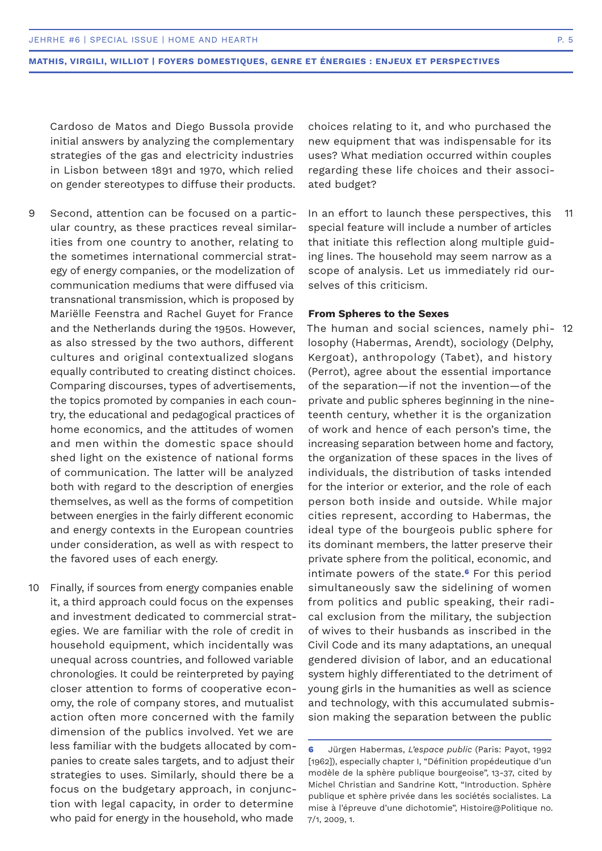Cardoso de Matos and Diego Bussola provide initial answers by analyzing the complementary strategies of the gas and electricity industries in Lisbon between 1891 and 1970, which relied on gender stereotypes to diffuse their products.

- Second, attention can be focused on a particular country, as these practices reveal similarities from one country to another, relating to the sometimes international commercial strategy of energy companies, or the modelization of communication mediums that were diffused via transnational transmission, which is proposed by Mariëlle Feenstra and Rachel Guyet for France and the Netherlands during the 1950s. However, as also stressed by the two authors, different cultures and original contextualized slogans equally contributed to creating distinct choices. Comparing discourses, types of advertisements, the topics promoted by companies in each country, the educational and pedagogical practices of home economics, and the attitudes of women and men within the domestic space should shed light on the existence of national forms of communication. The latter will be analyzed both with regard to the description of energies themselves, as well as the forms of competition between energies in the fairly different economic and energy contexts in the European countries under consideration, as well as with respect to the favored uses of each energy. 9
- Finally, if sources from energy companies enable it, a third approach could focus on the expenses and investment dedicated to commercial strategies. We are familiar with the role of credit in household equipment, which incidentally was unequal across countries, and followed variable chronologies. It could be reinterpreted by paying closer attention to forms of cooperative economy, the role of company stores, and mutualist action often more concerned with the family dimension of the publics involved. Yet we are less familiar with the budgets allocated by companies to create sales targets, and to adjust their strategies to uses. Similarly, should there be a focus on the budgetary approach, in conjunction with legal capacity, in order to determine who paid for energy in the household, who made 10

choices relating to it, and who purchased the new equipment that was indispensable for its uses? What mediation occurred within couples regarding these life choices and their associated budget?

In an effort to launch these perspectives, this special feature will include a number of articles that initiate this reflection along multiple guiding lines. The household may seem narrow as a scope of analysis. Let us immediately rid ourselves of this criticism. 11

# **From Spheres to the Sexes**

The human and social sciences, namely phi-12 losophy (Habermas, Arendt), sociology (Delphy, Kergoat), anthropology (Tabet), and history (Perrot), agree about the essential importance of the separation—if not the invention—of the private and public spheres beginning in the nineteenth century, whether it is the organization of work and hence of each person's time, the increasing separation between home and factory, the organization of these spaces in the lives of individuals, the distribution of tasks intended for the interior or exterior, and the role of each person both inside and outside. While major cities represent, according to Habermas, the ideal type of the bourgeois public sphere for its dominant members, the latter preserve their private sphere from the political, economic, and intimate powers of the state.**6** For this period simultaneously saw the sidelining of women from politics and public speaking, their radical exclusion from the military, the subjection of wives to their husbands as inscribed in the Civil Code and its many adaptations, an unequal gendered division of labor, and an educational system highly differentiated to the detriment of young girls in the humanities as well as science and technology, with this accumulated submission making the separation between the public

**<sup>6</sup>** Jürgen Habermas, *L'espace public* (Paris: Payot, 1992 [1962]), especially chapter I, "Définition propédeutique d'un modèle de la sphère publique bourgeoise", 13-37, cited by Michel Christian and Sandrine Kott, "Introduction. Sphère publique et sphère privée dans les sociétés socialistes. La mise à l'épreuve d'une dichotomie", Histoire@Politique no. 7/1, 2009, 1.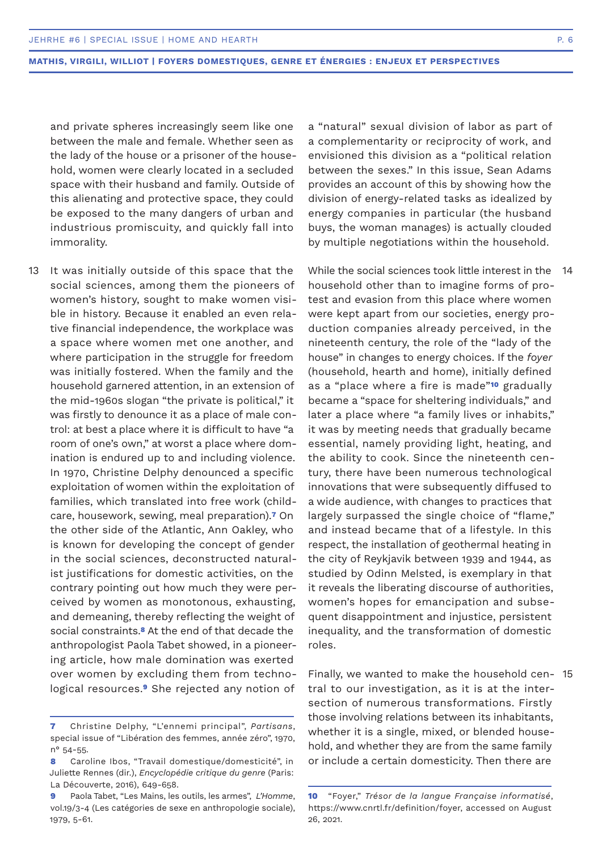and private spheres increasingly seem like one between the male and female. Whether seen as the lady of the house or a prisoner of the household, women were clearly located in a secluded space with their husband and family. Outside of this alienating and protective space, they could be exposed to the many dangers of urban and industrious promiscuity, and quickly fall into immorality.

It was initially outside of this space that the social sciences, among them the pioneers of women's history, sought to make women visible in history. Because it enabled an even relative financial independence, the workplace was a space where women met one another, and where participation in the struggle for freedom was initially fostered. When the family and the household garnered attention, in an extension of the mid-1960s slogan "the private is political," it was firstly to denounce it as a place of male control: at best a place where it is difficult to have "a room of one's own," at worst a place where domination is endured up to and including violence. In 1970, Christine Delphy denounced a specific exploitation of women within the exploitation of families, which translated into free work (childcare, housework, sewing, meal preparation).**7** On the other side of the Atlantic, Ann Oakley, who is known for developing the concept of gender in the social sciences, deconstructed naturalist justifications for domestic activities, on the contrary pointing out how much they were perceived by women as monotonous, exhausting, and demeaning, thereby reflecting the weight of social constraints.**8** At the end of that decade the anthropologist Paola Tabet showed, in a pioneering article, how male domination was exerted over women by excluding them from technological resources.**9** She rejected any notion of

a "natural" sexual division of labor as part of a complementarity or reciprocity of work, and envisioned this division as a "political relation between the sexes." In this issue, Sean Adams provides an account of this by showing how the division of energy-related tasks as idealized by energy companies in particular (the husband buys, the woman manages) is actually clouded by multiple negotiations within the household.

13  $\,$  It was initially outside of this space that the  $\,$  While the social sciences took little interest in the  $\,$  14  $\,$ household other than to imagine forms of protest and evasion from this place where women were kept apart from our societies, energy production companies already perceived, in the nineteenth century, the role of the "lady of the house" in changes to energy choices. If the *foyer* (household, hearth and home), initially defined as a "place where a fire is made"**10** gradually became a "space for sheltering individuals," and later a place where "a family lives or inhabits," it was by meeting needs that gradually became essential, namely providing light, heating, and the ability to cook. Since the nineteenth century, there have been numerous technological innovations that were subsequently diffused to a wide audience, with changes to practices that largely surpassed the single choice of "flame," and instead became that of a lifestyle. In this respect, the installation of geothermal heating in the city of Reykjavik between 1939 and 1944, as studied by Odinn Melsted, is exemplary in that it reveals the liberating discourse of authorities, women's hopes for emancipation and subsequent disappointment and injustice, persistent inequality, and the transformation of domestic roles.

> Finally, we wanted to make the household cen-15tral to our investigation, as it is at the intersection of numerous transformations. Firstly those involving relations between its inhabitants, whether it is a single, mixed, or blended household, and whether they are from the same family or include a certain domesticity. Then there are

**<sup>7</sup>** Christine Delphy, "L'ennemi principal", *Partisans*, special issue of "Libération des femmes, année zéro", 1970, n° 54-55.

**<sup>8</sup>** Caroline Ibos, "Travail domestique/domesticité", in Juliette Rennes (dir.), *Encyclopédie critique du genre* (Paris: La Découverte, 2016), 649-658.

**<sup>9</sup>** Paola Tabet, "Les Mains, les outils, les armes", *L'Homme*, vol.19/3-4 (Les catégories de sexe en anthropologie sociale), 1979, 5-61.

**<sup>10</sup>** "Foyer," *Trésor de la langue Française informatisé*, https://www.cnrtl.fr/definition/foyer, accessed on August 26, 2021.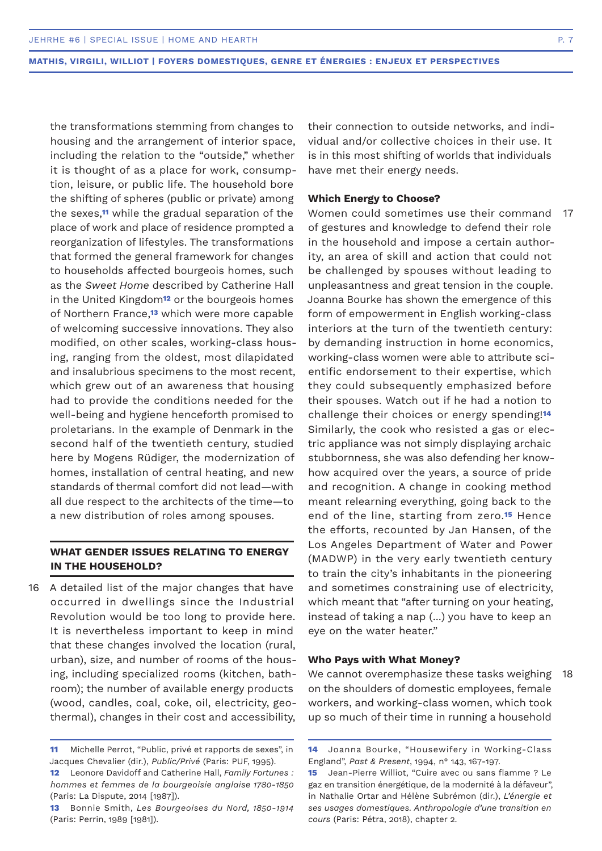the transformations stemming from changes to housing and the arrangement of interior space, including the relation to the "outside," whether it is thought of as a place for work, consumption, leisure, or public life. The household bore the shifting of spheres (public or private) among the sexes,**11** while the gradual separation of the place of work and place of residence prompted a reorganization of lifestyles. The transformations that formed the general framework for changes to households affected bourgeois homes, such as the *Sweet Home* described by Catherine Hall in the United Kingdom**12** or the bourgeois homes of Northern France,**13** which were more capable of welcoming successive innovations. They also modified, on other scales, working-class housing, ranging from the oldest, most dilapidated and insalubrious specimens to the most recent, which grew out of an awareness that housing had to provide the conditions needed for the well-being and hygiene henceforth promised to proletarians. In the example of Denmark in the second half of the twentieth century, studied here by Mogens Rüdiger, the modernization of homes, installation of central heating, and new standards of thermal comfort did not lead—with all due respect to the architects of the time—to a new distribution of roles among spouses.

# **WHAT GENDER ISSUES RELATING TO ENERGY IN THE HOUSEHOLD?**

16 A detailed list of the major changes that have occurred in dwellings since the Industrial Revolution would be too long to provide here. It is nevertheless important to keep in mind that these changes involved the location (rural, urban), size, and number of rooms of the housing, including specialized rooms (kitchen, bathroom); the number of available energy products (wood, candles, coal, coke, oil, electricity, geothermal), changes in their cost and accessibility,

their connection to outside networks, and individual and/or collective choices in their use. It is in this most shifting of worlds that individuals have met their energy needs.

# **Which Energy to Choose?**

Women could sometimes use their command of gestures and knowledge to defend their role in the household and impose a certain authority, an area of skill and action that could not be challenged by spouses without leading to unpleasantness and great tension in the couple. Joanna Bourke has shown the emergence of this form of empowerment in English working-class interiors at the turn of the twentieth century: by demanding instruction in home economics, working-class women were able to attribute scientific endorsement to their expertise, which they could subsequently emphasized before their spouses. Watch out if he had a notion to challenge their choices or energy spending!**<sup>14</sup>** Similarly, the cook who resisted a gas or electric appliance was not simply displaying archaic stubbornness, she was also defending her knowhow acquired over the years, a source of pride and recognition. A change in cooking method meant relearning everything, going back to the end of the line, starting from zero.**15** Hence the efforts, recounted by Jan Hansen, of the Los Angeles Department of Water and Power (MADWP) in the very early twentieth century to train the city's inhabitants in the pioneering and sometimes constraining use of electricity, which meant that "after turning on your heating, instead of taking a nap (...) you have to keep an eye on the water heater." 17

# **Who Pays with What Money?**

We cannot overemphasize these tasks weighing on the shoulders of domestic employees, female workers, and working-class women, which took up so much of their time in running a household 18

**<sup>11</sup>** Michelle Perrot, "Public, privé et rapports de sexes", in Jacques Chevalier (dir.), *Public/Privé* (Paris: PUF, 1995).

**<sup>12</sup>** Leonore Davidoff and Catherine Hall, *Family Fortunes : hommes et femmes de la bourgeoisie anglaise 1780-1850*  (Paris: La Dispute, 2014 [1987]).

**<sup>13</sup>** Bonnie Smith, *Les Bourgeoises du Nord, 1850-1914*  (Paris: Perrin, 1989 [1981]).

**<sup>14</sup>** Joanna Bourke, "Housewifery in Working-Class England", *Past & Present*, 1994, n° 143, 167-197.

**<sup>15</sup>** Jean-Pierre Williot, "Cuire avec ou sans flamme ? Le gaz en transition énergétique, de la modernité à la défaveur", in Nathalie Ortar and Hélène Subrémon (dir.), *L'énergie et ses usages domestiques. Anthropologie d'une transition en cours* (Paris: Pétra, 2018), chapter 2.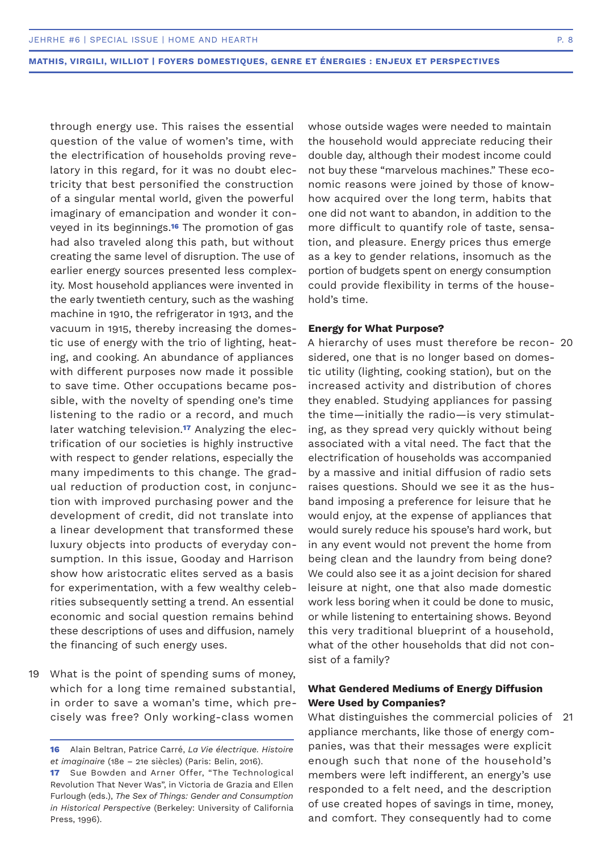through energy use. This raises the essential question of the value of women's time, with the electrification of households proving revelatory in this regard, for it was no doubt electricity that best personified the construction of a singular mental world, given the powerful imaginary of emancipation and wonder it conveyed in its beginnings.**16** The promotion of gas had also traveled along this path, but without creating the same level of disruption. The use of earlier energy sources presented less complexity. Most household appliances were invented in the early twentieth century, such as the washing machine in 1910, the refrigerator in 1913, and the vacuum in 1915, thereby increasing the domestic use of energy with the trio of lighting, heating, and cooking. An abundance of appliances with different purposes now made it possible to save time. Other occupations became possible, with the novelty of spending one's time listening to the radio or a record, and much later watching television.**17** Analyzing the electrification of our societies is highly instructive with respect to gender relations, especially the many impediments to this change. The gradual reduction of production cost, in conjunction with improved purchasing power and the development of credit, did not translate into a linear development that transformed these luxury objects into products of everyday consumption. In this issue, Gooday and Harrison show how aristocratic elites served as a basis for experimentation, with a few wealthy celebrities subsequently setting a trend. An essential economic and social question remains behind these descriptions of uses and diffusion, namely the financing of such energy uses.

What is the point of spending sums of money, 19 which for a long time remained substantial, in order to save a woman's time, which precisely was free? Only working-class women

whose outside wages were needed to maintain the household would appreciate reducing their double day, although their modest income could not buy these "marvelous machines." These economic reasons were joined by those of knowhow acquired over the long term, habits that one did not want to abandon, in addition to the more difficult to quantify role of taste, sensation, and pleasure. Energy prices thus emerge as a key to gender relations, insomuch as the portion of budgets spent on energy consumption could provide flexibility in terms of the household's time.

### **Energy for What Purpose?**

A hierarchy of uses must therefore be recon-20 sidered, one that is no longer based on domestic utility (lighting, cooking station), but on the increased activity and distribution of chores they enabled. Studying appliances for passing the time—initially the radio—is very stimulating, as they spread very quickly without being associated with a vital need. The fact that the electrification of households was accompanied by a massive and initial diffusion of radio sets raises questions. Should we see it as the husband imposing a preference for leisure that he would enjoy, at the expense of appliances that would surely reduce his spouse's hard work, but in any event would not prevent the home from being clean and the laundry from being done? We could also see it as a joint decision for shared leisure at night, one that also made domestic work less boring when it could be done to music, or while listening to entertaining shows. Beyond this very traditional blueprint of a household, what of the other households that did not consist of a family?

# **What Gendered Mediums of Energy Diffusion Were Used by Companies?**

What distinguishes the commercial policies of 21appliance merchants, like those of energy companies, was that their messages were explicit enough such that none of the household's members were left indifferent, an energy's use responded to a felt need, and the description of use created hopes of savings in time, money, and comfort. They consequently had to come

**<sup>16</sup>** Alain Beltran, Patrice Carré, *La Vie électrique. Histoire et imaginaire* (18e – 21e siècles) (Paris: Belin, 2016).

**<sup>17</sup>** Sue Bowden and Arner Offer, "The Technological Revolution That Never Was", in Victoria de Grazia and Ellen Furlough (eds.), *The Sex of Things: Gender and Consumption in Historical Perspective* (Berkeley: University of California Press, 1996).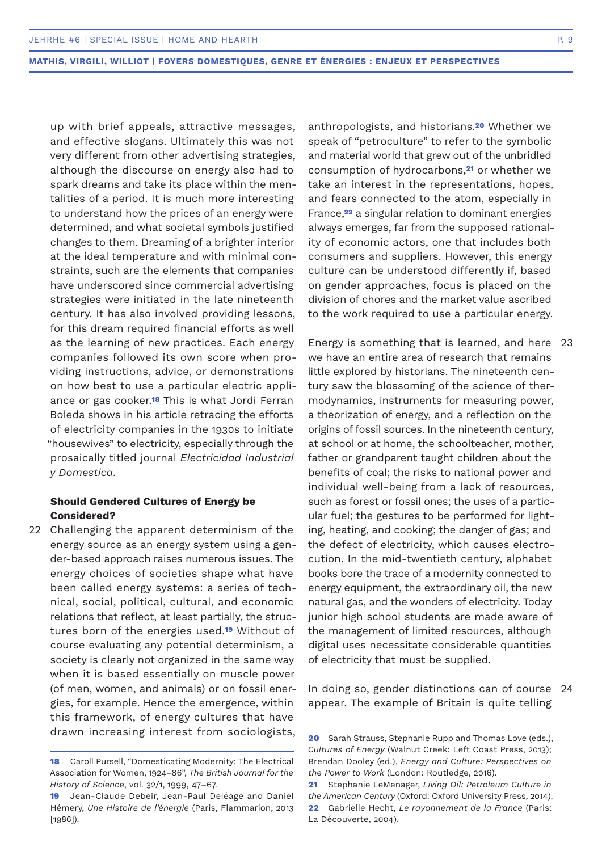up with brief appeals, attractive messages, and effective slogans. Ultimately this was not very different from other advertising strategies, although the discourse on energy also had to spark dreams and take its place within the mentalities of a period. It is much more interesting to understand how the prices of an energy were determined, and what societal symbols justified changes to them. Dreaming of a brighter interior at the ideal temperature and with minimal constraints, such are the elements that companies have underscored since commercial advertising strategies were initiated in the late nineteenth century. It has also involved providing lessons, for this dream required financial efforts as well as the learning of new practices. Each energy companies followed its own score when providing instructions, advice, or demonstrations on how best to use a particular electric appliance or gas cooker.**18** This is what Jordi Ferran Boleda shows in his article retracing the efforts of electricity companies in the 1930s to initiate "housewives" to electricity, especially through the prosaically titled journal *Electricidad Industrial y Domestica*.

# **Should Gendered Cultures of Energy be Considered?**

22 Challenging the apparent determinism of the energy source as an energy system using a gender-based approach raises numerous issues. The energy choices of societies shape what have been called energy systems: a series of technical, social, political, cultural, and economic relations that reflect, at least partially, the structures born of the energies used.**19** Without of course evaluating any potential determinism, a society is clearly not organized in the same way when it is based essentially on muscle power (of men, women, and animals) or on fossil energies, for example. Hence the emergence, within this framework, of energy cultures that have drawn increasing interest from sociologists,

anthropologists, and historians.**20** Whether we speak of "petroculture" to refer to the symbolic and material world that grew out of the unbridled consumption of hydrocarbons,**21** or whether we take an interest in the representations, hopes, and fears connected to the atom, especially in France,**22** a singular relation to dominant energies always emerges, far from the supposed rationality of economic actors, one that includes both consumers and suppliers. However, this energy culture can be understood differently if, based on gender approaches, focus is placed on the division of chores and the market value ascribed to the work required to use a particular energy.

Energy is something that is learned, and here 23 we have an entire area of research that remains little explored by historians. The nineteenth century saw the blossoming of the science of thermodynamics, instruments for measuring power, a theorization of energy, and a reflection on the origins of fossil sources. In the nineteenth century, at school or at home, the schoolteacher, mother, father or grandparent taught children about the benefits of coal; the risks to national power and individual well-being from a lack of resources, such as forest or fossil ones; the uses of a particular fuel; the gestures to be performed for lighting, heating, and cooking; the danger of gas; and the defect of electricity, which causes electrocution. In the mid-twentieth century, alphabet books bore the trace of a modernity connected to energy equipment, the extraordinary oil, the new natural gas, and the wonders of electricity. Today junior high school students are made aware of the management of limited resources, although digital uses necessitate considerable quantities of electricity that must be supplied.

In doing so, gender distinctions can of course 24appear. The example of Britain is quite telling

**<sup>18</sup>** Caroll Pursell, "Domesticating Modernity: The Electrical Association for Women, 1924–86", *The British Journal for the History of Science*, vol. 32/1, 1999, 47–67.

**<sup>19</sup>** Jean-Claude Debeir, Jean-Paul Deléage and Daniel Hémery, *Une Histoire de l'énergie* (Paris, Flammarion, 2013 [1986]).

**<sup>20</sup>** Sarah Strauss, Stephanie Rupp and Thomas Love (eds.), *Cultures of Energy* (Walnut Creek: Left Coast Press, 2013); Brendan Dooley (ed.), *Energy and Culture: Perspectives on the Power to Work* (London: Routledge, 2016).

**<sup>21</sup>** Stephanie LeMenager, *Living Oil: Petroleum Culture in the American Century* (Oxford: Oxford University Press, 2014). **22** Gabrielle Hecht, *Le rayonnement de la France* (Paris: La Découverte, 2004).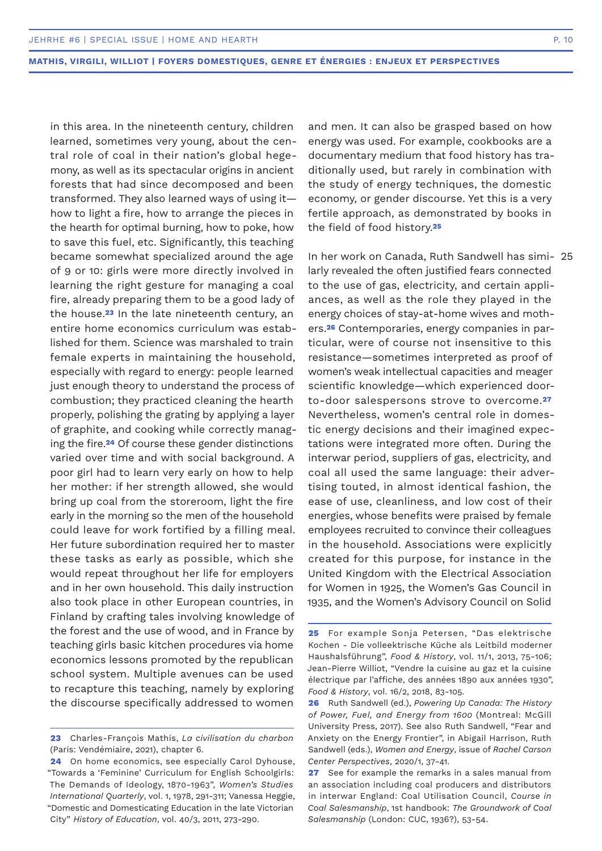in this area. In the nineteenth century, children learned, sometimes very young, about the central role of coal in their nation's global hegemony, as well as its spectacular origins in ancient forests that had since decomposed and been transformed. They also learned ways of using it how to light a fire, how to arrange the pieces in the hearth for optimal burning, how to poke, how to save this fuel, etc. Significantly, this teaching became somewhat specialized around the age of 9 or 10: girls were more directly involved in learning the right gesture for managing a coal fire, already preparing them to be a good lady of the house.**23** In the late nineteenth century, an entire home economics curriculum was established for them. Science was marshaled to train female experts in maintaining the household, especially with regard to energy: people learned just enough theory to understand the process of combustion; they practiced cleaning the hearth properly, polishing the grating by applying a layer of graphite, and cooking while correctly managing the fire.**24** Of course these gender distinctions varied over time and with social background. A poor girl had to learn very early on how to help her mother: if her strength allowed, she would bring up coal from the storeroom, light the fire early in the morning so the men of the household could leave for work fortified by a filling meal. Her future subordination required her to master these tasks as early as possible, which she would repeat throughout her life for employers and in her own household. This daily instruction also took place in other European countries, in Finland by crafting tales involving knowledge of the forest and the use of wood, and in France by teaching girls basic kitchen procedures via home economics lessons promoted by the republican school system. Multiple avenues can be used to recapture this teaching, namely by exploring the discourse specifically addressed to women

and men. It can also be grasped based on how energy was used. For example, cookbooks are a documentary medium that food history has traditionally used, but rarely in combination with the study of energy techniques, the domestic economy, or gender discourse. Yet this is a very fertile approach, as demonstrated by books in the field of food history.**<sup>25</sup>**

In her work on Canada, Ruth Sandwell has simi-25larly revealed the often justified fears connected to the use of gas, electricity, and certain appliances, as well as the role they played in the energy choices of stay-at-home wives and mothers.**26** Contemporaries, energy companies in particular, were of course not insensitive to this resistance—sometimes interpreted as proof of women's weak intellectual capacities and meager scientific knowledge—which experienced doorto-door salespersons strove to overcome.**<sup>27</sup>** Nevertheless, women's central role in domestic energy decisions and their imagined expectations were integrated more often. During the interwar period, suppliers of gas, electricity, and coal all used the same language: their advertising touted, in almost identical fashion, the ease of use, cleanliness, and low cost of their energies, whose benefits were praised by female employees recruited to convince their colleagues in the household. Associations were explicitly created for this purpose, for instance in the United Kingdom with the Electrical Association for Women in 1925, the Women's Gas Council in 1935, and the Women's Advisory Council on Solid

**<sup>23</sup>** Charles-François Mathis, *La civilisation du charbon*  (Paris: Vendémiaire, 2021), chapter 6.

**<sup>24</sup>** On home economics, see especially Carol Dyhouse, "Towards a 'Feminine' Curriculum for English Schoolgirls: The Demands of Ideology, 1870-1963", *Women's Studies International Quarterly*, vol. 1, 1978, 291-311; Vanessa Heggie, "Domestic and Domesticating Education in the late Victorian City" *History of Education*, vol. 40/3, 2011, 273-290.

**<sup>25</sup>** For example Sonja Petersen, "Das elektrische Kochen - Die volleektrische Küche als Leitbild moderner Haushalsführung", *Food & History*, vol. 11/1, 2013, 75-106; Jean-Pierre Williot, "Vendre la cuisine au gaz et la cuisine électrique par l'affiche, des années 1890 aux années 1930", *Food & History*, vol. 16/2, 2018, 83-105.

**<sup>26</sup>** Ruth Sandwell (ed.), *Powering Up Canada: The History of Power, Fuel, and Energy from 1600* (Montreal: McGill University Press, 2017). See also Ruth Sandwell, "Fear and Anxiety on the Energy Frontier", in Abigail Harrison, Ruth Sandwell (eds.), *Women and Energy*, issue of *Rachel Carson Center Perspectives*, 2020/1, 37-41.

**<sup>27</sup>** See for example the remarks in a sales manual from an association including coal producers and distributors in interwar England: Coal Utilisation Council, *Course in Coal Salesmanship*, 1st handbook: *The Groundwork of Coal Salesmanship* (London: CUC, 1936?), 53-54.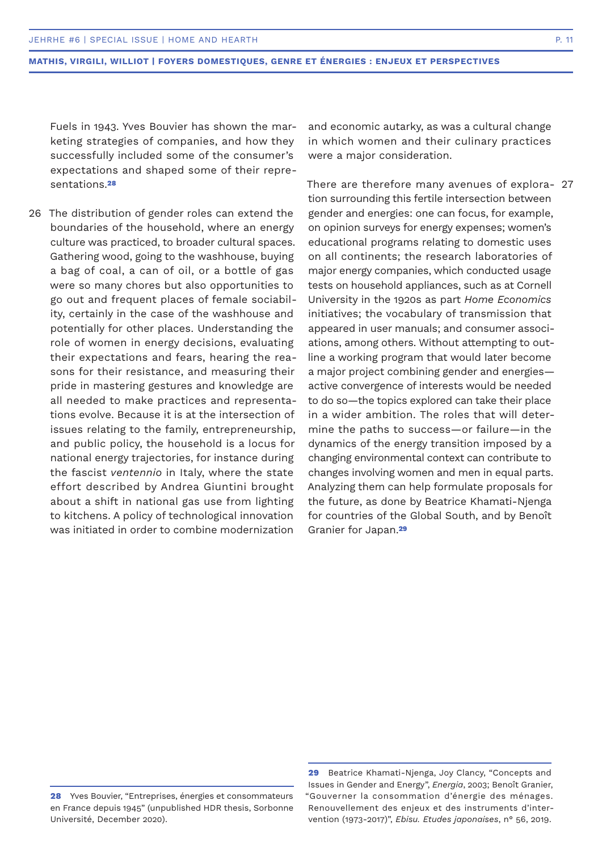Fuels in 1943. Yves Bouvier has shown the marketing strategies of companies, and how they successfully included some of the consumer's expectations and shaped some of their representations.**<sup>28</sup>**

26 The distribution of gender roles can extend the boundaries of the household, where an energy culture was practiced, to broader cultural spaces. Gathering wood, going to the washhouse, buying a bag of coal, a can of oil, or a bottle of gas were so many chores but also opportunities to go out and frequent places of female sociability, certainly in the case of the washhouse and potentially for other places. Understanding the role of women in energy decisions, evaluating their expectations and fears, hearing the reasons for their resistance, and measuring their pride in mastering gestures and knowledge are all needed to make practices and representations evolve. Because it is at the intersection of issues relating to the family, entrepreneurship, and public policy, the household is a locus for national energy trajectories, for instance during the fascist *ventennio* in Italy, where the state effort described by Andrea Giuntini brought about a shift in national gas use from lighting to kitchens. A policy of technological innovation was initiated in order to combine modernization

and economic autarky, as was a cultural change in which women and their culinary practices were a major consideration.

There are therefore many avenues of explora-27tion surrounding this fertile intersection between gender and energies: one can focus, for example, on opinion surveys for energy expenses; women's educational programs relating to domestic uses on all continents; the research laboratories of major energy companies, which conducted usage tests on household appliances, such as at Cornell University in the 1920s as part *Home Economics*  initiatives; the vocabulary of transmission that appeared in user manuals; and consumer associations, among others. Without attempting to outline a working program that would later become a major project combining gender and energies active convergence of interests would be needed to do so—the topics explored can take their place in a wider ambition. The roles that will determine the paths to success—or failure—in the dynamics of the energy transition imposed by a changing environmental context can contribute to changes involving women and men in equal parts. Analyzing them can help formulate proposals for the future, as done by Beatrice Khamati-Njenga for countries of the Global South, and by Benoît Granier for Japan.**<sup>29</sup>**

**<sup>28</sup>** Yves Bouvier, "Entreprises, énergies et consommateurs en France depuis 1945" (unpublished HDR thesis, Sorbonne Université, December 2020).

**<sup>29</sup>** Beatrice Khamati-Njenga, Joy Clancy, "Concepts and Issues in Gender and Energy", *Energia*, 2003; Benoît Granier, "Gouverner la consommation d'énergie des ménages. Renouvellement des enjeux et des instruments d'intervention (1973-2017)", *Ebisu. Etudes japonaises*, n° 56, 2019.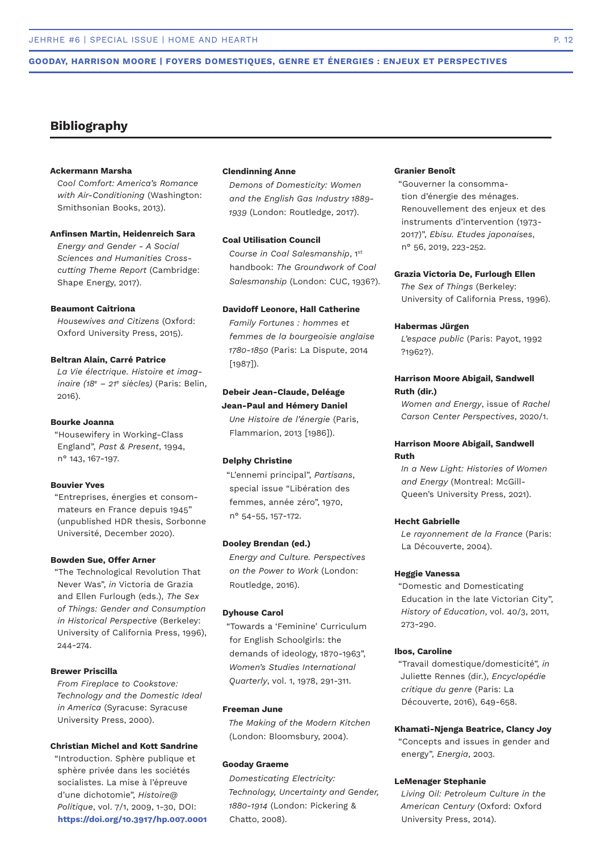### **GOODAY, HARRISON MOORE | FOYERS DOMESTIQUES, GENRE ET ÉNERGIES : ENJEUX ET PERSPECTIVES**

# **Bibliography**

#### **Ackermann Marsha**

*Cool Comfort: America's Romance with Air-Conditioning* (Washington: Smithsonian Books, 2013).

#### **Anfinsen Martin, Heidenreich Sara**

*Energy and Gender - A Social Sciences and Humanities Crosscutting Theme Report* (Cambridge: Shape Energy, 2017).

### **Beaumont Caitriona**

*Housewives and Citizens* (Oxford: Oxford University Press, 2015).

#### **Beltran Alain, Carré Patrice**

*La Vie électrique. Histoire et imaginaire (18e – 21e siècles)* (Paris: Belin,  $2016$ 

#### **Bourke Joanna**

"Housewifery in Working-Class England", *Past & Present*, 1994, n° 143, 167-197.

#### **Bouvier Yves**

"Entreprises, énergies et consommateurs en France depuis 1945" (unpublished HDR thesis, Sorbonne Université, December 2020).

#### **Bowden Sue, Offer Arner**

"The Technological Revolution That Never Was", *in* Victoria de Grazia and Ellen Furlough (eds.), *The Sex of Things: Gender and Consumption in Historical Perspective* (Berkeley: University of California Press, 1996), 244-274.

#### **Brewer Priscilla**

*From Fireplace to Cookstove: Technology and the Domestic Ideal in America* (Syracuse: Syracuse University Press, 2000).

# **Christian Michel and Kott Sandrine**

"Introduction. Sphère publique et sphère privée dans les sociétés socialistes. La mise à l'épreuve d'une dichotomie", *Histoire@ Politique*, vol. 7/1, 2009, 1-30, DOI: **https://doi.org/10.3917/hp.007.0001** 

## **Clendinning Anne**

*Demons of Domesticity: Women and the English Gas Industry 1889- 1939* (London: Routledge, 2017).

#### **Coal Utilisation Council**

*Course in Coal Salesmanship*, 1st handbook: *The Groundwork of Coal Salesmanship* (London: CUC, 1936?).

#### **Davidoff Leonore, Hall Catherine**

*Family Fortunes : hommes et femmes de la bourgeoisie anglaise 1780-1850* (Paris: La Dispute, 2014 [1987]).

# **Debeir Jean-Claude, Deléage Jean-Paul and Hémery Daniel**

*Une Histoire de l'énergie* (Paris, Flammarion, 2013 [1986]).

#### **Delphy Christine**

"L'ennemi principal", *Partisans*, special issue "Libération des femmes, année zéro", 1970, n° 54-55, 157-172.

#### **Dooley Brendan (ed.)**

*Energy and Culture. Perspectives on the Power to Work* (London: Routledge, 2016).

#### **Dyhouse Carol**

"Towards a 'Feminine' Curriculum for English Schoolgirls: the demands of ideology, 1870-1963", *Women's Studies International Quarterly*, vol. 1, 1978, 291-311.

#### **Freeman June**

*The Making of the Modern Kitchen* (London: Bloomsbury, 2004).

#### **Gooday Graeme**

*Domesticating Electricity: Technology, Uncertainty and Gender, 1880-1914* (London: Pickering & Chatto, 2008).

# **Granier Benoît**

"Gouverner la consommation d'énergie des ménages. Renouvellement des enjeux et des instruments d'intervention (1973- 2017)", *Ebisu. Etudes japonaises*, n° 56, 2019, 223-252.

#### **Grazia Victoria De, Furlough Ellen**

*The Sex of Things* (Berkeley: University of California Press, 1996).

#### **Habermas Jürgen**

*L'espace public* (Paris: Payot, 1992 ?1962?).

## **Harrison Moore Abigail, Sandwell Ruth (dir.)**

*Women and Energy*, issue of *Rachel Carson Center Perspectives*, 2020/1.

# **Harrison Moore Abigail, Sandwell Ruth**

*In a New Light: Histories of Women and Energy* (Montreal: McGill-Queen's University Press, 2021).

#### **Hecht Gabrielle**

*Le rayonnement de la France* (Paris: La Découverte, 2004).

#### **Heggie Vanessa**

"Domestic and Domesticating Education in the late Victorian City", *History of Education*, vol. 40/3, 2011, 273-290.

#### **Ibos, Caroline**

"Travail domestique/domesticité", *in* Juliette Rennes (dir.), *Encyclopédie critique du genre* (Paris: La Découverte, 2016), 649-658.

#### **Khamati-Njenga Beatrice, Clancy Joy**

"Concepts and issues in gender and energy", *Energia*, 2003.

#### **LeMenager Stephanie**

*Living Oil: Petroleum Culture in the American Century* (Oxford: Oxford University Press, 2014).